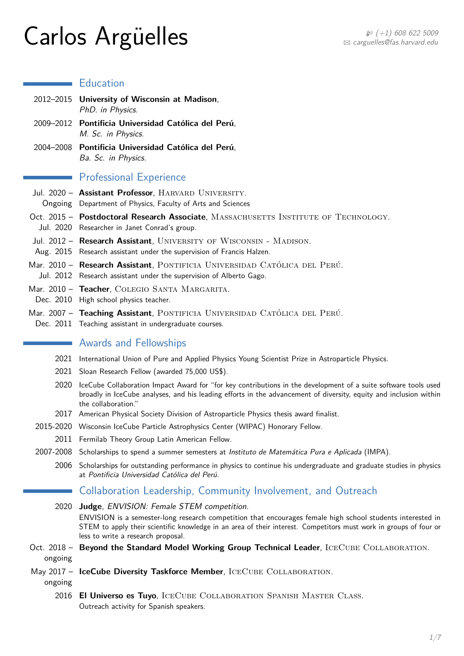# $Carlos \; Argüelles$   $\mathbb{R}$   $\mathbb{C}$  arlos  $\mathbb{A}$  rguelles  $\mathbb{C}$   $\mathbb{C}$  arguelles  $\mathbb{C}$ fas. harvard.edu

# **Education**

|           | 2012-2015 University of Wisconsin at Madison,<br>PhD. in Physics.                                                                                                                                                                                                                                                       |
|-----------|-------------------------------------------------------------------------------------------------------------------------------------------------------------------------------------------------------------------------------------------------------------------------------------------------------------------------|
|           | 2009-2012 Pontificia Universidad Católica del Perú,<br>M. Sc. in Physics.                                                                                                                                                                                                                                               |
|           | 2004-2008 Pontificia Universidad Católica del Perú,<br>Ba. Sc. in Physics.                                                                                                                                                                                                                                              |
|           | <b>Professional Experience</b>                                                                                                                                                                                                                                                                                          |
|           | Jul. 2020 - Assistant Professor, HARVARD UNIVERSITY.<br>Ongoing Department of Physics, Faculty of Arts and Sciences                                                                                                                                                                                                     |
|           | Oct. 2015 - Postdoctoral Research Associate, MASSACHUSETTS INSTITUTE OF TECHNOLOGY.<br>Jul. 2020 Researcher in Janet Conrad's group.                                                                                                                                                                                    |
|           | Jul. 2012 - Research Assistant, UNIVERSITY OF WISCONSIN - MADISON.<br>Aug. 2015 Research assistant under the supervision of Francis Halzen.                                                                                                                                                                             |
|           | Mar. 2010 - Research Assistant, PONTIFICIA UNIVERSIDAD CATÓLICA DEL PERÚ.<br>Jul. 2012 Research assistant under the supervision of Alberto Gago.                                                                                                                                                                        |
|           | Mar. 2010 - Teacher, COLEGIO SANTA MARGARITA.<br>Dec. 2010 High school physics teacher.                                                                                                                                                                                                                                 |
|           | Mar. 2007 - Teaching Assistant, PONTIFICIA UNIVERSIDAD CATÓLICA DEL PERÚ.<br>Dec. 2011 Teaching assistant in undergraduate courses.                                                                                                                                                                                     |
|           | <b>Awards and Fellowships</b>                                                                                                                                                                                                                                                                                           |
|           | 2021 International Union of Pure and Applied Physics Young Scientist Prize in Astroparticle Physics.                                                                                                                                                                                                                    |
|           | 2021 Sloan Research Fellow (awarded 75,000 US\$).                                                                                                                                                                                                                                                                       |
| 2020      | IceCube Collaboration Impact Award for "for key contributions in the development of a suite software tools used<br>broadly in IceCube analyses, and his leading efforts in the advancement of diversity, equity and inclusion within<br>the collaboration."                                                             |
|           | 2017 American Physical Society Division of Astroparticle Physics thesis award finalist.                                                                                                                                                                                                                                 |
|           | 2015-2020 Wisconsin IceCube Particle Astrophysics Center (WIPAC) Honorary Fellow.                                                                                                                                                                                                                                       |
|           | 2011 Fermilab Theory Group Latin American Fellow.                                                                                                                                                                                                                                                                       |
| 2007-2008 | Scholarships to spend a summer semesters at Instituto de Matemática Pura e Aplicada (IMPA).                                                                                                                                                                                                                             |
| 2006      | Scholarships for outstanding performance in physics to continue his undergraduate and graduate studies in physics<br>at Pontificia Universidad Católica del Perú.                                                                                                                                                       |
|           | Collaboration Leadership, Community Involvement, and Outreach                                                                                                                                                                                                                                                           |
|           | 2020 Judge, ENVISION: Female STEM competition.<br>ENVISION is a semester-long research competition that encourages female high school students interested in<br>STEM to apply their scientific knowledge in an area of their interest. Competitors must work in groups of four or<br>less to write a research proposal. |
| ongoing   | Oct. 2018 - Beyond the Standard Model Working Group Technical Leader, ICECUBE COLLABORATION.                                                                                                                                                                                                                            |
| ongoing   | May 2017 - IceCube Diversity Taskforce Member, ICECUBE COLLABORATION.                                                                                                                                                                                                                                                   |
| 2016      | <b>El Universo es Tuyo, ICECUBE COLLABORATION SPANISH MASTER CLASS.</b><br>Outreach activity for Spanish speakers.                                                                                                                                                                                                      |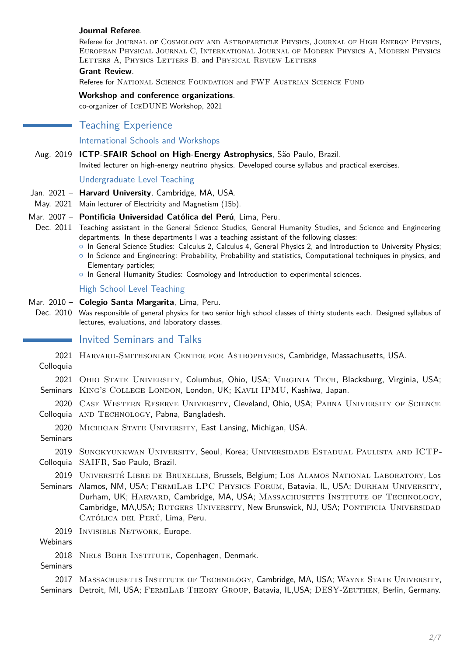#### **Journal Referee**.

Referee for Journal of Cosmology and Astroparticle Physics, Journal of High Energy Physics, European Physical Journal C, International Journal of Modern Physics A, Modern Physics LETTERS A, PHYSICS LETTERS B, and PHYSICAL REVIEW LETTERS

#### **Grant Review**.

Referee for NATIONAL SCIENCE FOUNDATION and FWF AUSTRIAN SCIENCE FUND

#### **Workshop and conference organizations**.

co-organizer of IceDUNE Workshop, 2021

# Teaching Experience

## International Schools and Workshops

#### Aug. 2019 **ICTP-SFAIR School on High-Energy Astrophysics**, São Paulo, Brazil.

Invited lecturer on high-energy neutrino physics. Developed course syllabus and practical exercises.

#### Undergraduate Level Teaching

- Jan. 2021 **Harvard University**, Cambridge, MA, USA.
- May. 2021 Main lecturer of Electricity and Magnetism (15b).

#### Mar. 2007 – **Pontificia Universidad Católica del Perú**, Lima, Peru.

- Dec. 2011 Teaching assistant in the General Science Studies, General Humanity Studies, and Science and Engineering departments. In these departments I was a teaching assistant of the following classes:
	- { In General Science Studies: Calculus 2, Calculus 4, General Physics 2, and Introduction to University Physics;
	- $\circ$  In Science and Engineering: Probability, Probability and statistics, Computational techniques in physics, and Elementary particles;
	- $\circ$  In General Humanity Studies: Cosmology and Introduction to experimental sciences.

#### High School Level Teaching

- Mar. 2010 **Colegio Santa Margarita**, Lima, Peru.
- Dec. 2010 Was responsible of general physics for two senior high school classes of thirty students each. Designed syllabus of lectures, evaluations, and laboratory classes.

# **Invited Seminars and Talks**

| Colloquia               | 2021 HARVARD-SMITHSONIAN CENTER FOR ASTROPHYSICS, Cambridge, Massachusetts, USA.                                                                                                                                                                                                                                                                                                               |
|-------------------------|------------------------------------------------------------------------------------------------------------------------------------------------------------------------------------------------------------------------------------------------------------------------------------------------------------------------------------------------------------------------------------------------|
| 2021<br>Seminars        | OHIO STATE UNIVERSITY, Columbus, Ohio, USA; VIRGINIA TECH, Blacksburg, Virginia, USA;<br>KING'S COLLEGE LONDON, London, UK; KAVLI IPMU, Kashiwa, Japan.                                                                                                                                                                                                                                        |
| 2020                    | CASE WESTERN RESERVE UNIVERSITY, Cleveland, Ohio, USA; PABNA UNIVERSITY OF SCIENCE<br>Colloquia AND TECHNOLOGY, Pabna, Bangladesh.                                                                                                                                                                                                                                                             |
| 2020<br><b>Seminars</b> | MICHIGAN STATE UNIVERSITY, East Lansing, Michigan, USA.                                                                                                                                                                                                                                                                                                                                        |
| 2019<br>Colloquia       | SUNGKYUNKWAN UNIVERSITY, Seoul, Korea; UNIVERSIDADE ESTADUAL PAULISTA AND ICTP-<br>SAIFR, Sao Paulo, Brazil.                                                                                                                                                                                                                                                                                   |
| Seminars                | 2019 UNIVERSITÉ LIBRE DE BRUXELLES, Brussels, Belgium; LOS ALAMOS NATIONAL LABORATORY, LOS<br>Alamos, NM, USA; FERMILAB LPC PHYSICS FORUM, Batavia, IL, USA; DURHAM UNIVERSITY,<br>Durham, UK; HARVARD, Cambridge, MA, USA; MASSACHUSETTS INSTITUTE OF TECHNOLOGY,<br>Cambridge, MA, USA; RUTGERS UNIVERSITY, New Brunswick, NJ, USA; PONTIFICIA UNIVERSIDAD<br>CATÓLICA DEL PERÚ, Lima, Peru. |
| 2019<br>Webinars        | INVISIBLE NETWORK, Europe.                                                                                                                                                                                                                                                                                                                                                                     |
| 2018<br>Seminars        | NIELS BOHR INSTITUTE, Copenhagen, Denmark.                                                                                                                                                                                                                                                                                                                                                     |
|                         | 2017 MASSACHUSETTS INSTITUTE OF TECHNOLOGY, Cambridge, MA, USA; WAYNE STATE UNIVERSITY,                                                                                                                                                                                                                                                                                                        |

Seminars Detroit, MI, USA; FERMILAB THEORY GROUP, Batavia, IL,USA; DESY-ZEUTHEN, Berlin, Germany.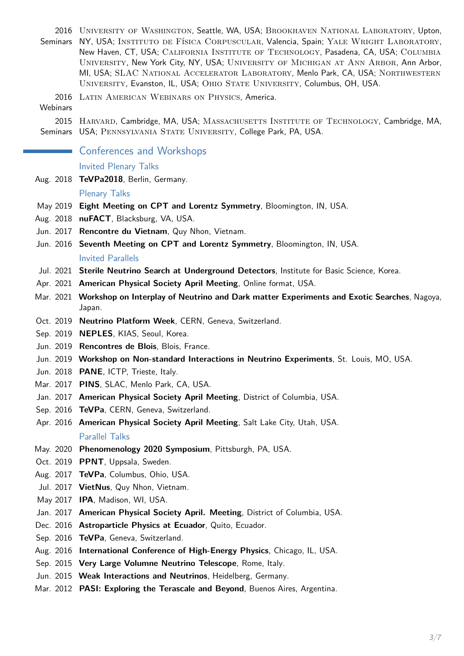2016 University of Washington, Seattle, WA, USA; Brookhaven National Laboratory, Upton, Seminars NY, USA; INSTITUTO DE FÍSICA CORPUSCULAR, Valencia, Spain; YALE WRIGHT LABORATORY, New Haven, CT, USA; CALIFORNIA INSTITUTE OF TECHNOLOGY, Pasadena, CA, USA; COLUMBIA University, New York City, NY, USA; University of Michigan at Ann Arbor, Ann Arbor, MI, USA; SLAC National Accelerator Laboratory, Menlo Park, CA, USA; Northwestern University, Evanston, IL, USA; Ohio State University, Columbus, OH, USA.

- 2016 LATIN AMERICAN WEBINARS ON PHYSICS, America.
- **Webinars**

2015 HARVARD, Cambridge, MA, USA; MASSACHUSETTS INSTITUTE OF TECHNOLOGY, Cambridge, MA, Seminars USA; PENNSYLVANIA STATE UNIVERSITY, College Park, PA, USA.

Conferences and Workshops

## Invited Plenary Talks

Aug. 2018 **TeVPa2018**, Berlin, Germany.

#### Plenary Talks

- May 2019 **Eight Meeting on CPT and Lorentz Symmetry**, Bloomington, IN, USA.
- Aug. 2018 **nuFACT**, Blacksburg, VA, USA.
- Jun. 2017 **Rencontre du Vietnam**, Quy Nhon, Vietnam.
- Jun. 2016 **Seventh Meeting on CPT and Lorentz Symmetry**, Bloomington, IN, USA. Invited Parallels
- Jul. 2021 **Sterile Neutrino Search at Underground Detectors**, Institute for Basic Science, Korea.
- Apr. 2021 **American Physical Society April Meeting**, Online format, USA.
- Mar. 2021 **Workshop on Interplay of Neutrino and Dark matter Experiments and Exotic Searches**, Nagoya, Japan.
- Oct. 2019 **Neutrino Platform Week**, CERN, Geneva, Switzerland.
- Sep. 2019 **NEPLES**, KIAS, Seoul, Korea.
- Jun. 2019 **Rencontres de Blois**, Blois, France.
- Jun. 2019 **Workshop on Non-standard Interactions in Neutrino Experiments**, St. Louis, MO, USA.
- Jun. 2018 **PANE**, ICTP, Trieste, Italy.
- Mar. 2017 **PINS**, SLAC, Menlo Park, CA, USA.
- Jan. 2017 **American Physical Society April Meeting**, District of Columbia, USA.
- Sep. 2016 **TeVPa**, CERN, Geneva, Switzerland.
- Apr. 2016 **American Physical Society April Meeting**, Salt Lake City, Utah, USA. Parallel Talks
- May. 2020 **Phenomenology 2020 Symposium**, Pittsburgh, PA, USA.
- Oct. 2019 **PPNT**, Uppsala, Sweden.
- Aug. 2017 **TeVPa**, Columbus, Ohio, USA.
- Jul. 2017 **VietNus**, Quy Nhon, Vietnam.
- May 2017 **IPA**, Madison, WI, USA.
- Jan. 2017 **American Physical Society April. Meeting**, District of Columbia, USA.
- Dec. 2016 **Astroparticle Physics at Ecuador**, Quito, Ecuador.
- Sep. 2016 **TeVPa**, Geneva, Switzerland.
- Aug. 2016 **International Conference of High-Energy Physics**, Chicago, IL, USA.
- Sep. 2015 **Very Large Volumne Neutrino Telescope**, Rome, Italy.
- Jun. 2015 **Weak Interactions and Neutrinos**, Heidelberg, Germany.
- Mar. 2012 **PASI: Exploring the Terascale and Beyond**, Buenos Aires, Argentina.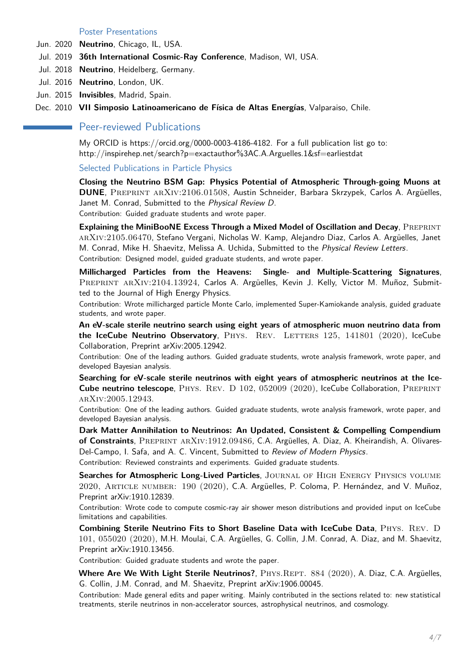#### Poster Presentations

- Jun. 2020 **Neutrino**, Chicago, IL, USA.
- Jul. 2019 **36th International Cosmic-Ray Conference**, Madison, WI, USA.
- Jul. 2018 **Neutrino**, Heidelberg, Germany.
- Jul. 2016 **Neutrino**, London, UK.
- Jun. 2015 **Invisibles**, Madrid, Spain.

Dec. 2010 **VII Simposio Latinoamericano de Física de Altas Energías**, Valparaiso, Chile.

# **Peer-reviewed Publications**

My ORCID is https://orcid.org/0000-0003-4186-4182. For a full publication list go to: http://inspirehep.net/search?p=exactauthor%3AC.A.Arguelles.1&sf=earliestdat

Selected Publications in Particle Physics

**Closing the Neutrino BSM Gap: Physics Potential of Atmospheric Through-going Muons at DUNE**, Preprint arXiv:2106.01508, Austin Schneider, Barbara Skrzypek, Carlos A. Argüelles, Janet M. Conrad, Submitted to the Physical Review D. Contribution: Guided graduate students and wrote paper.

**Explaining the MiniBooNE Excess Through a Mixed Model of Oscillation and Decay, PREPRINT** arXiv:2105.06470, Stefano Vergani, Nicholas W. Kamp, Alejandro Diaz, Carlos A. Argüelles, Janet M. Conrad, Mike H. Shaevitz, Melissa A. Uchida, Submitted to the Physical Review Letters. Contribution: Designed model, guided graduate students, and wrote paper.

**Millicharged Particles from the Heavens: Single- and Multiple-Scattering Signatures**, PREPRINT ARXIV:2104.13924, Carlos A. Argüelles, Kevin J. Kelly, Victor M. Muñoz, Submitted to the Journal of High Energy Physics.

Contribution: Wrote millicharged particle Monte Carlo, implemented Super-Kamiokande analysis, guided graduate students, and wrote paper.

**An eV-scale sterile neutrino search using eight years of atmospheric muon neutrino data from the IceCube Neutrino Observatory**, PHYS. REV. LETTERS 125, 141801 (2020), IceCube Collaboration, Preprint arXiv:2005.12942.

Contribution: One of the leading authors. Guided graduate students, wrote analysis framework, wrote paper, and developed Bayesian analysis.

**Searching for eV-scale sterile neutrinos with eight years of atmospheric neutrinos at the Ice-Cube neutrino telescope**, PHYS. REV. D 102, 052009 (2020), IceCube Collaboration, PREPRINT arXiv:2005.12943.

Contribution: One of the leading authors. Guided graduate students, wrote analysis framework, wrote paper, and developed Bayesian analysis.

**Dark Matter Annihilation to Neutrinos: An Updated, Consistent & Compelling Compendium of Constraints**, Preprint arXiv:1912.09486, C.A. Argüelles, A. Diaz, A. Kheirandish, A. Olivares-Del-Campo, I. Safa, and A. C. Vincent, Submitted to Review of Modern Physics. Contribution: Reviewed constraints and experiments. Guided graduate students.

Searches for Atmospheric Long-Lived Particles, JOURNAL OF HIGH ENERGY PHYSICS VOLUME 2020, Article number: 190 (2020), C.A. Argüelles, P. Coloma, P. Hernández, and V. Muñoz, Preprint arXiv:1910.12839.

Contribution: Wrote code to compute cosmic-ray air shower meson distributions and provided input on IceCube limitations and capabilities.

**Combining Sterile Neutrino Fits to Short Baseline Data with IceCube Data**, Phys. Rev. D 101, 055020 (2020), M.H. Moulai, C.A. Argüelles, G. Collin, J.M. Conrad, A. Diaz, and M. Shaevitz, Preprint arXiv:1910.13456.

Contribution: Guided graduate students and wrote the paper.

Where Are We With Light Sterile Neutrinos?, PHYS.REPT. 884 (2020), A. Diaz, C.A. Argüelles, G. Collin, J.M. Conrad, and M. Shaevitz, Preprint arXiv:1906.00045.

Contribution: Made general edits and paper writing. Mainly contributed in the sections related to: new statistical treatments, sterile neutrinos in non-accelerator sources, astrophysical neutrinos, and cosmology.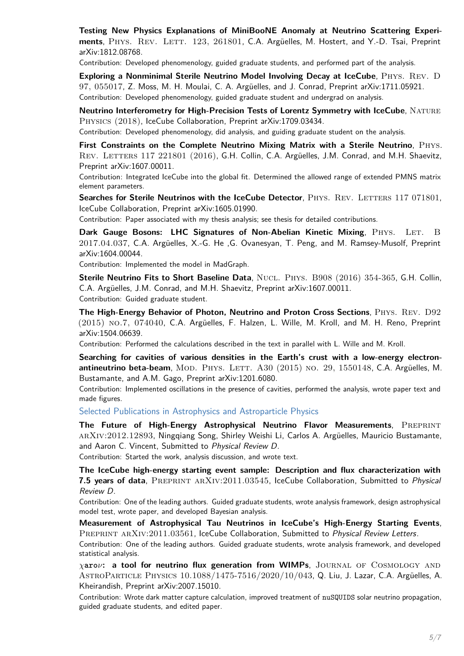**Testing New Physics Explanations of MiniBooNE Anomaly at Neutrino Scattering Experi**ments, PHYS. REV. LETT. 123, 261801, C.A. Argüelles, M. Hostert, and Y.-D. Tsai, Preprint arXiv:1812.08768.

Contribution: Developed phenomenology, guided graduate students, and performed part of the analysis.

**Exploring a Nonminimal Sterile Neutrino Model Involving Decay at IceCube**, Phys. Rev. D 97, 055017, Z. Moss, M. H. Moulai, C. A. Argüelles, and J. Conrad, Preprint arXiv:1711.05921. Contribution: Developed phenomenology, guided graduate student and undergrad on analysis.

**Neutrino Interferometry for High-Precision Tests of Lorentz Symmetry with IceCube**, NATURE Physics (2018), IceCube Collaboration, Preprint arXiv:1709.03434.

Contribution: Developed phenomenology, did analysis, and guiding graduate student on the analysis.

First Constraints on the Complete Neutrino Mixing Matrix with a Sterile Neutrino, PHYS. REV. LETTERS 117 221801 (2016), G.H. Collin, C.A. Argüelles, J.M. Conrad, and M.H. Shaevitz, Preprint arXiv:1607.00011.

Contribution: Integrated IceCube into the global fit. Determined the allowed range of extended PMNS matrix element parameters.

**Searches for Sterile Neutrinos with the IceCube Detector**, PHYS. REV. LETTERS 117 071801, IceCube Collaboration, Preprint arXiv:1605.01990.

Contribution: Paper associated with my thesis analysis; see thesis for detailed contributions.

**Dark Gauge Bosons: LHC Signatures of Non-Abelian Kinetic Mixing, PHYS. LET. B** 2017.04.037, C.A. Argüelles, X.-G. He ,G. Ovanesyan, T. Peng, and M. Ramsey-Musolf, Preprint arXiv:1604.00044.

Contribution: Implemented the model in MadGraph.

**Sterile Neutrino Fits to Short Baseline Data**, NUCL. PHYS. B908 (2016) 354-365, G.H. Collin, C.A. Argüelles, J.M. Conrad, and M.H. Shaevitz, Preprint arXiv:1607.00011. Contribution: Guided graduate student.

**The High-Energy Behavior of Photon, Neutrino and Proton Cross Sections**, Phys. Rev. D92 (2015) no.7, 074040, C.A. Argüelles, F. Halzen, L. Wille, M. Kroll, and M. H. Reno, Preprint arXiv:1504.06639.

Contribution: Performed the calculations described in the text in parallel with L. Wille and M. Kroll.

**Searching for cavities of various densities in the Earth's crust with a low-energy electronantineutrino beta-beam**, MOD. PHYS. LETT. A30 (2015) NO. 29, 1550148, C.A. Argüelles, M. Bustamante, and A.M. Gago, Preprint arXiv:1201.6080.

Contribution: Implemented oscillations in the presence of cavities, performed the analysis, wrote paper text and made figures.

Selected Publications in Astrophysics and Astroparticle Physics

**The Future of High-Energy Astrophysical Neutrino Flavor Measurements**, PREPRINT arXiv:2012.12893, Ningqiang Song, Shirley Weishi Li, Carlos A. Argüelles, Mauricio Bustamante, and Aaron C. Vincent, Submitted to Physical Review D.

Contribution: Started the work, analysis discussion, and wrote text.

**The IceCube high-energy starting event sample: Description and flux characterization with** 7.5 years of data, PREPRINT ARXIV:2011.03545, IceCube Collaboration, Submitted to Physical Review D.

Contribution: One of the leading authors. Guided graduate students, wrote analysis framework, design astrophysical model test, wrote paper, and developed Bayesian analysis.

**Measurement of Astrophysical Tau Neutrinos in IceCube's High-Energy Starting Events**, PREPRINT ARXIV:2011.03561, IceCube Collaboration, Submitted to Physical Review Letters.

Contribution: One of the leading authors. Guided graduate students, wrote analysis framework, and developed statistical analysis.

*χ***aro***ν***: a tool for neutrino flux generation from WIMPs**, Journal of Cosmology and AstroParticle Physics 10.1088/1475-7516/2020/10/043, Q. Liu, J. Lazar, C.A. Argüelles, A. Kheirandish, Preprint arXiv:2007.15010.

Contribution: Wrote dark matter capture calculation, improved treatment of nuSQUIDS solar neutrino propagation, guided graduate students, and edited paper.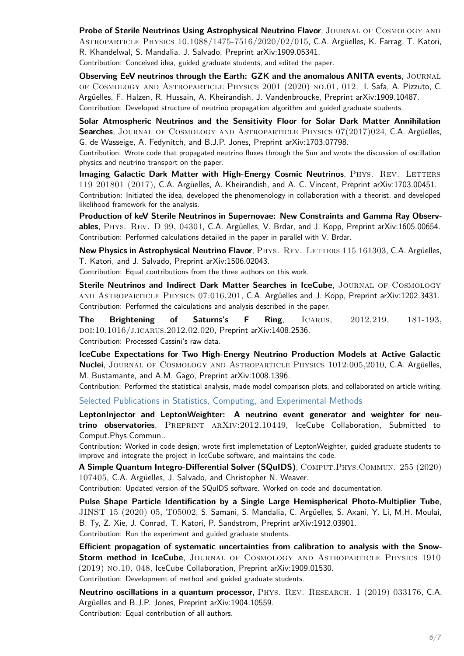**Probe of Sterile Neutrinos Using Astrophysical Neutrino Flavor**, JOURNAL OF COSMOLOGY AND Astroparticle Physics 10.1088/1475-7516/2020/02/015, C.A. Argüelles, K. Farrag, T. Katori, R. Khandelwal, S. Mandalia, J. Salvado, Preprint arXiv:1909.05341.

Contribution: Conceived idea, guided graduate students, and edited the paper.

**Observing EeV neutrinos through the Earth: GZK and the anomalous ANITA events**, JOURNAL of Cosmology and Astroparticle Physics 2001 (2020) no.01, 012, I. Safa, A. Pizzuto, C. Argüelles, F. Halzen, R. Hussain, A. Kheirandish, J. Vandenbroucke, Preprint arXiv:1909.10487. Contribution: Developed structure of neutrino propagation algorithm and guided graduate students.

**Solar Atmospheric Neutrinos and the Sensitivity Floor for Solar Dark Matter Annihilation Searches**, Journal of Cosmology and Astroparticle Physics 07(2017)024, C.A. Argüelles, G. de Wasseige, A. Fedynitch, and B.J.P. Jones, Preprint arXiv:1703.07798.

Contribution: Wrote code that propagated neutrino fluxes through the Sun and wrote the discussion of oscillation physics and neutrino transport on the paper.

**Imaging Galactic Dark Matter with High-Energy Cosmic Neutrinos, PHYS. REV. LETTERS** 119 201801 (2017), C.A. Argüelles, A. Kheirandish, and A. C. Vincent, Preprint arXiv:1703.00451. Contribution: Initiated the idea, developed the phenomenology in collaboration with a theorist, and developed likelihood framework for the analysis.

**Production of keV Sterile Neutrinos in Supernovae: New Constraints and Gamma Ray Observables**, Phys. Rev. D 99, 04301, C.A. Argüelles, V. Brdar, and J. Kopp, Preprint arXiv:1605.00654. Contribution: Performed calculations detailed in the paper in parallel with V. Brdar.

New Physics in Astrophysical Neutrino Flavor, PHYS. REV. LETTERS 115 161303, C.A. Argüelles, T. Katori, and J. Salvado, Preprint arXiv:1506.02043.

Contribution: Equal contributions from the three authors on this work.

**Sterile Neutrinos and Indirect Dark Matter Searches in IceCube**, JOURNAL OF COSMOLOGY and Astroparticle Physics 07:016,201, C.A. Argüelles and J. Kopp, Preprint arXiv:1202.3431. Contribution: Performed the calculations and analysis described in the paper.

**The Brightening of Saturns's F Ring**, Icarus, 2012,219, 181-193, doi:10.1016/j.icarus.2012.02.020, Preprint arXiv:1408.2536. Contribution: Processed Cassini's raw data.

**IceCube Expectations for Two High-Energy Neutrino Production Models at Active Galactic Nuclei**, Journal of Cosmology and Astroparticle Physics 1012:005,2010, C.A. Argüelles, M. Bustamante, and A.M. Gago, Preprint arXiv:1008.1396.

Contribution: Performed the statistical analysis, made model comparison plots, and collaborated on article writing.

<span id="page-5-0"></span>Selected Publications in Statistics, Computing, and Experimental Methods

**LeptonInjector and LeptonWeighter: A neutrino event generator and weighter for neutrino observatories**, Preprint arXiv:2012.10449, IceCube Collaboration, Submitted to Comput.Phys.Commun..

Contribution: Worked in code design, wrote first implemetation of LeptonWeighter, guided graduate students to improve and integrate the project in IceCube software, and maintains the code.

**A Simple Quantum Integro-Differential Solver (SQuIDS)**, COMPUT.PHYS.COMMUN. 255 (2020) 107405, C.A. Argüelles, J. Salvado, and Christopher N. Weaver.

Contribution: Updated version of the SQuIDS software. Worked on code and documentation.

**Pulse Shape Particle Identification by a Single Large Hemispherical Photo-Multiplier Tube**, JINST 15 (2020) 05, T05002, S. Samani, S. Mandalia, C. Argüelles, S. Axani, Y. Li, M.H. Moulai, B. Ty, Z. Xie, J. Conrad, T. Katori, P. Sandstrom, Preprint arXiv:1912.03901. Contribution: Run the experiment and guided graduate students.

**Efficient propagation of systematic uncertainties from calibration to analysis with the Snow-Storm method in IceCube**, JOURNAL OF COSMOLOGY AND ASTROPARTICLE PHYSICS 1910 (2019) no.10, 048, IceCube Collaboration, Preprint arXiv:1909.01530.

Contribution: Development of method and guided graduate students.

**Neutrino oscillations in a quantum processor**, PHYS. REV. RESEARCH. 1 (2019) 033176, C.A. Argüelles and B.J.P. Jones, Preprint arXiv:1904.10559. Contribution: Equal contribution of all authors.

6[/7](#page-5-0)